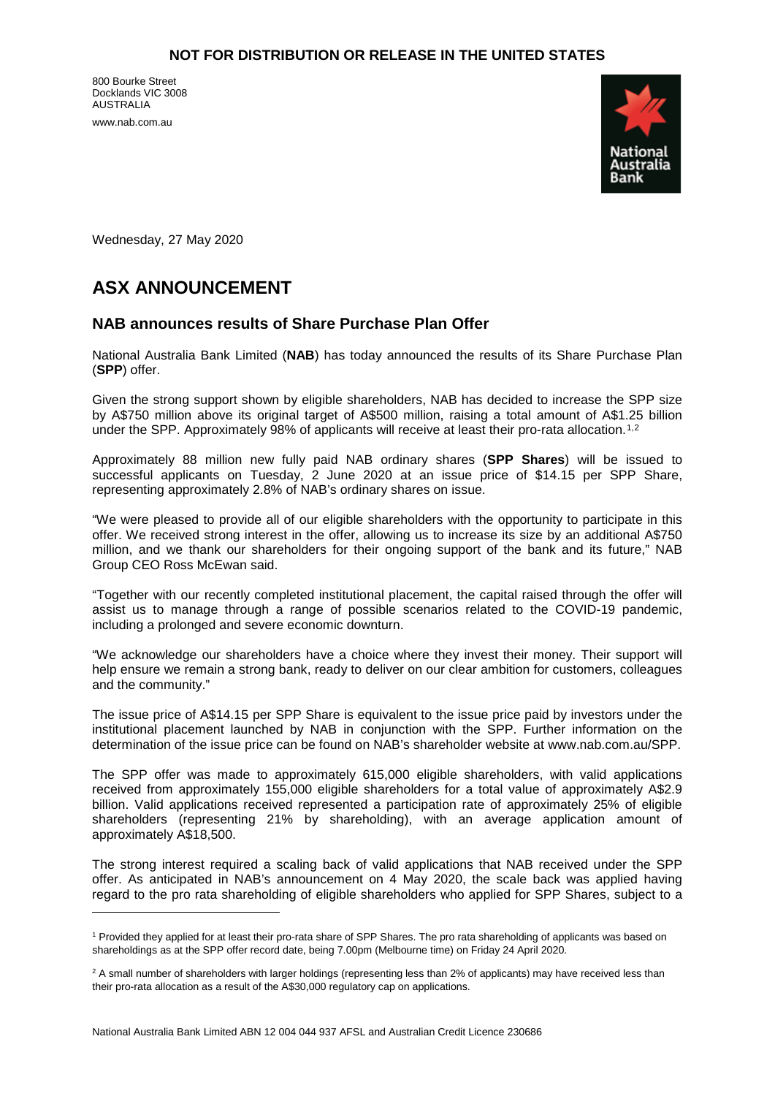800 Bourke Street Docklands VIC 3008 AUSTRALIA

www.nab.com.au

<u>.</u>



Wednesday, 27 May 2020

# **ASX ANNOUNCEMENT**

## **NAB announces results of Share Purchase Plan Offer**

National Australia Bank Limited (**NAB**) has today announced the results of its Share Purchase Plan (**SPP**) offer.

Given the strong support shown by eligible shareholders, NAB has decided to increase the SPP size by A\$750 million above its original target of A\$500 million, raising a total amount of A\$1.25 billion under the SPP. Approximately 98% of applicants will receive at least their pro-rata allocation.<sup>[1](#page-0-0),[2](#page-0-1)</sup>

Approximately 88 million new fully paid NAB ordinary shares (**SPP Shares**) will be issued to successful applicants on Tuesday, 2 June 2020 at an issue price of \$14.15 per SPP Share, representing approximately 2.8% of NAB's ordinary shares on issue.

"We were pleased to provide all of our eligible shareholders with the opportunity to participate in this offer. We received strong interest in the offer, allowing us to increase its size by an additional A\$750 million, and we thank our shareholders for their ongoing support of the bank and its future," NAB Group CEO Ross McEwan said.

"Together with our recently completed institutional placement, the capital raised through the offer will assist us to manage through a range of possible scenarios related to the COVID-19 pandemic, including a prolonged and severe economic downturn.

"We acknowledge our shareholders have a choice where they invest their money. Their support will help ensure we remain a strong bank, ready to deliver on our clear ambition for customers, colleagues and the community."

The issue price of A\$14.15 per SPP Share is equivalent to the issue price paid by investors under the institutional placement launched by NAB in conjunction with the SPP. Further information on the determination of the issue price can be found on NAB's shareholder website at www.nab.com.au/SPP.

The SPP offer was made to approximately 615,000 eligible shareholders, with valid applications received from approximately 155,000 eligible shareholders for a total value of approximately A\$2.9 billion. Valid applications received represented a participation rate of approximately 25% of eligible shareholders (representing 21% by shareholding), with an average application amount of approximately A\$18,500.

The strong interest required a scaling back of valid applications that NAB received under the SPP offer. As anticipated in NAB's announcement on 4 May 2020, the scale back was applied having regard to the pro rata shareholding of eligible shareholders who applied for SPP Shares, subject to a

<span id="page-0-0"></span><sup>1</sup> Provided they applied for at least their pro-rata share of SPP Shares. The pro rata shareholding of applicants was based on shareholdings as at the SPP offer record date, being 7.00pm (Melbourne time) on Friday 24 April 2020.

<span id="page-0-1"></span> $2$  A small number of shareholders with larger holdings (representing less than 2% of applicants) may have received less than their pro-rata allocation as a result of the A\$30,000 regulatory cap on applications.